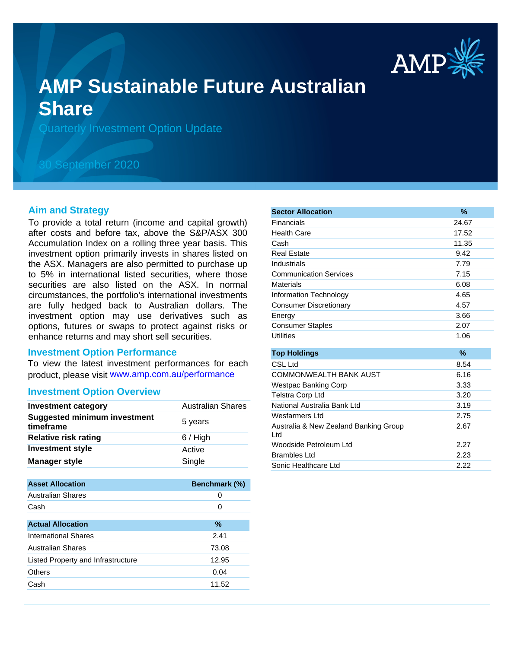

# **AMP Sustainable Future Australian Share**

Quarterly Investment Option Update

## 30 September 2020

#### **Aim and Strategy**

To provide a total return (income and capital growth) after costs and before tax, above the S&P/ASX 300 Accumulation Index on a rolling three year basis. This investment option primarily invests in shares listed on the ASX. Managers are also permitted to purchase up to 5% in international listed securities, where those securities are also listed on the ASX. In normal circumstances, the portfolio's international investments are fully hedged back to Australian dollars. The investment option may use derivatives such as options, futures or swaps to protect against risks or enhance returns and may short sell securities.

#### **Investment Option Performance**

To view the latest investment performances for each product, please visit www.amp.com.au/performance

#### **Investment Option Overview**

| <b>Investment category</b>                       | <b>Australian Shares</b> |
|--------------------------------------------------|--------------------------|
| <b>Suggested minimum investment</b><br>timeframe | 5 years                  |
| <b>Relative risk rating</b>                      | $6/$ High                |
| <b>Investment style</b>                          | Active                   |
| <b>Manager style</b>                             | Single                   |

| <b>Asset Allocation</b>            | <b>Benchmark (%)</b> |
|------------------------------------|----------------------|
| <b>Australian Shares</b>           | 0                    |
| Cash                               | 0                    |
|                                    |                      |
| <b>Actual Allocation</b>           | $\%$                 |
| International Shares               | 2.41                 |
| <b>Australian Shares</b>           | 73.08                |
| Listed Property and Infrastructure | 12.95                |
| Others                             | 0.04                 |
| Cash                               | 11.52                |

| <b>Sector Allocation</b>                     | $\%$  |
|----------------------------------------------|-------|
| Financials                                   | 24.67 |
| <b>Health Care</b>                           | 17.52 |
| Cash                                         | 11.35 |
| Real Estate                                  | 9.42  |
| Industrials                                  | 7.79  |
| <b>Communication Services</b>                | 7.15  |
| <b>Materials</b>                             | 6.08  |
| Information Technology                       | 4.65  |
| <b>Consumer Discretionary</b>                | 4.57  |
| Energy                                       | 3.66  |
| <b>Consumer Staples</b>                      | 2.07  |
| <b>Utilities</b>                             | 1.06  |
|                                              |       |
| <b>Top Holdings</b>                          | $\%$  |
| CSL Ltd                                      | 8.54  |
| <b>COMMONWEALTH BANK AUST</b>                | 6.16  |
| Westpac Banking Corp                         | 3.33  |
| <b>Telstra Corp Ltd</b>                      | 3.20  |
| National Australia Bank Ltd                  | 3.19  |
| Wesfarmers Ltd                               | 2.75  |
| Australia & New Zealand Banking Group<br>Ltd | 2.67  |
| Woodside Petroleum Ltd                       | 2.27  |
| <b>Brambles Ltd</b>                          | 2.23  |
| Sonic Healthcare Ltd                         | 2.22  |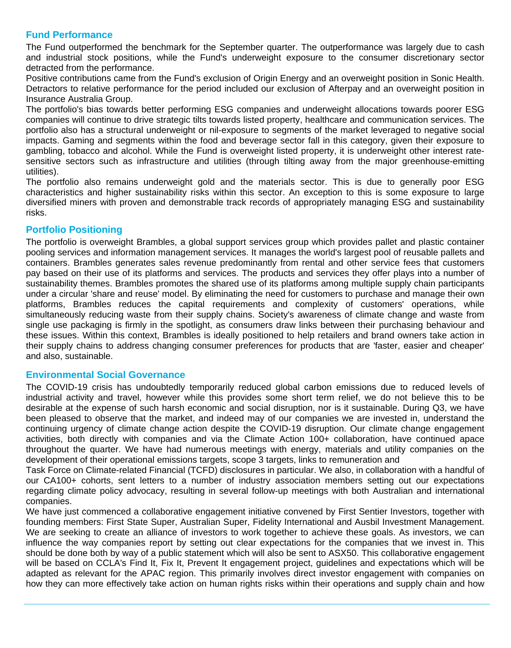## **Fund Performance**

The Fund outperformed the benchmark for the September quarter. The outperformance was largely due to cash and industrial stock positions, while the Fund's underweight exposure to the consumer discretionary sector detracted from the performance.

Positive contributions came from the Fund's exclusion of Origin Energy and an overweight position in Sonic Health. Detractors to relative performance for the period included our exclusion of Afterpay and an overweight position in Insurance Australia Group.

The portfolio's bias towards better performing ESG companies and underweight allocations towards poorer ESG companies will continue to drive strategic tilts towards listed property, healthcare and communication services. The portfolio also has a structural underweight or nil-exposure to segments of the market leveraged to negative social impacts. Gaming and segments within the food and beverage sector fall in this category, given their exposure to gambling, tobacco and alcohol. While the Fund is overweight listed property, it is underweight other interest ratesensitive sectors such as infrastructure and utilities (through tilting away from the major greenhouse-emitting utilities).

The portfolio also remains underweight gold and the materials sector. This is due to generally poor ESG characteristics and higher sustainability risks within this sector. An exception to this is some exposure to large diversified miners with proven and demonstrable track records of appropriately managing ESG and sustainability risks.

## **Portfolio Positioning**

The portfolio is overweight Brambles, a global support services group which provides pallet and plastic container pooling services and information management services. It manages the world's largest pool of reusable pallets and containers. Brambles generates sales revenue predominantly from rental and other service fees that customers pay based on their use of its platforms and services. The products and services they offer plays into a number of sustainability themes. Brambles promotes the shared use of its platforms among multiple supply chain participants under a circular 'share and reuse' model. By eliminating the need for customers to purchase and manage their own platforms, Brambles reduces the capital requirements and complexity of customers' operations, while simultaneously reducing waste from their supply chains. Society's awareness of climate change and waste from single use packaging is firmly in the spotlight, as consumers draw links between their purchasing behaviour and these issues. Within this context, Brambles is ideally positioned to help retailers and brand owners take action in their supply chains to address changing consumer preferences for products that are 'faster, easier and cheaper' and also, sustainable.

### **Environmental Social Governance**

The COVID-19 crisis has undoubtedly temporarily reduced global carbon emissions due to reduced levels of industrial activity and travel, however while this provides some short term relief, we do not believe this to be desirable at the expense of such harsh economic and social disruption, nor is it sustainable. During Q3, we have been pleased to observe that the market, and indeed may of our companies we are invested in, understand the continuing urgency of climate change action despite the COVID-19 disruption. Our climate change engagement activities, both directly with companies and via the Climate Action 100+ collaboration, have continued apace throughout the quarter. We have had numerous meetings with energy, materials and utility companies on the development of their operational emissions targets, scope 3 targets, links to remuneration and

Task Force on Climate-related Financial (TCFD) disclosures in particular. We also, in collaboration with a handful of our CA100+ cohorts, sent letters to a number of industry association members setting out our expectations regarding climate policy advocacy, resulting in several follow-up meetings with both Australian and international companies.

We have just commenced a collaborative engagement initiative convened by First Sentier Investors, together with founding members: First State Super, Australian Super, Fidelity International and Ausbil Investment Management. We are seeking to create an alliance of investors to work together to achieve these goals. As investors, we can influence the way companies report by setting out clear expectations for the companies that we invest in. This should be done both by way of a public statement which will also be sent to ASX50. This collaborative engagement will be based on CCLA's Find It, Fix It, Prevent It engagement project, guidelines and expectations which will be adapted as relevant for the APAC region. This primarily involves direct investor engagement with companies on how they can more effectively take action on human rights risks within their operations and supply chain and how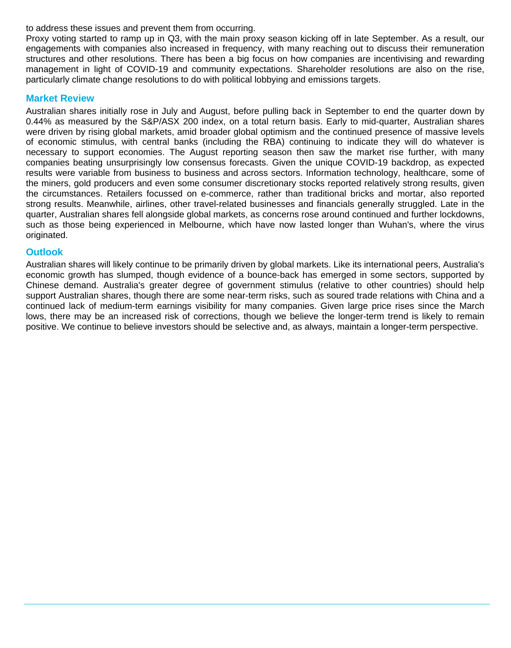to address these issues and prevent them from occurring.

Proxy voting started to ramp up in Q3, with the main proxy season kicking off in late September. As a result, our engagements with companies also increased in frequency, with many reaching out to discuss their remuneration structures and other resolutions. There has been a big focus on how companies are incentivising and rewarding management in light of COVID-19 and community expectations. Shareholder resolutions are also on the rise, particularly climate change resolutions to do with political lobbying and emissions targets.

#### **Market Review**

Australian shares initially rose in July and August, before pulling back in September to end the quarter down by 0.44% as measured by the S&P/ASX 200 index, on a total return basis. Early to mid-quarter, Australian shares were driven by rising global markets, amid broader global optimism and the continued presence of massive levels of economic stimulus, with central banks (including the RBA) continuing to indicate they will do whatever is necessary to support economies. The August reporting season then saw the market rise further, with many companies beating unsurprisingly low consensus forecasts. Given the unique COVID-19 backdrop, as expected results were variable from business to business and across sectors. Information technology, healthcare, some of the miners, gold producers and even some consumer discretionary stocks reported relatively strong results, given the circumstances. Retailers focussed on e-commerce, rather than traditional bricks and mortar, also reported strong results. Meanwhile, airlines, other travel-related businesses and financials generally struggled. Late in the quarter, Australian shares fell alongside global markets, as concerns rose around continued and further lockdowns, such as those being experienced in Melbourne, which have now lasted longer than Wuhan's, where the virus originated.

#### **Outlook**

Australian shares will likely continue to be primarily driven by global markets. Like its international peers, Australia's economic growth has slumped, though evidence of a bounce-back has emerged in some sectors, supported by Chinese demand. Australia's greater degree of government stimulus (relative to other countries) should help support Australian shares, though there are some near-term risks, such as soured trade relations with China and a continued lack of medium-term earnings visibility for many companies. Given large price rises since the March lows, there may be an increased risk of corrections, though we believe the longer-term trend is likely to remain positive. We continue to believe investors should be selective and, as always, maintain a longer-term perspective.